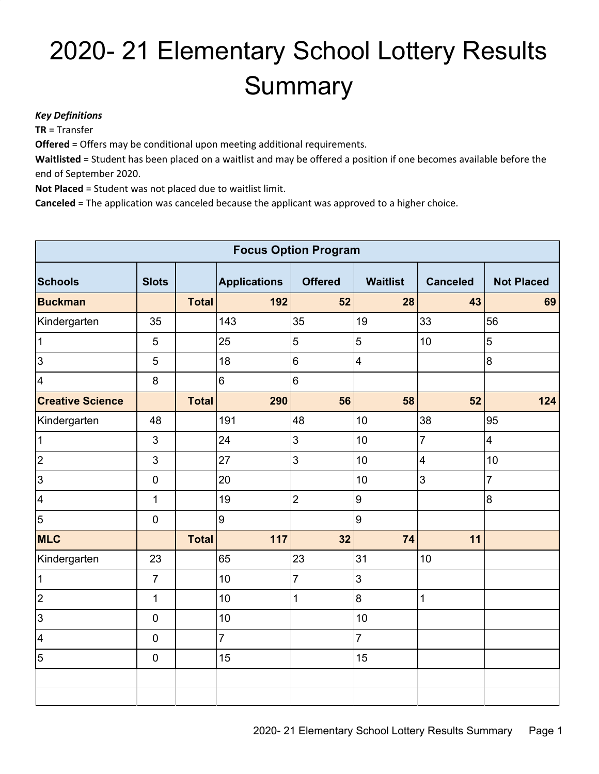## 2020- 21 Elementary School Lottery Results **Summary**

## *Key Definitions*

**TR** = Transfer

**Offered** = Offers may be conditional upon meeting additional requirements.

**Waitlisted** = Student has been placed on a waitlist and may be offered a position if one becomes available before the end of September 2020.

**Not Placed** = Student was not placed due to waitlist limit.

**Canceled** = The application was canceled because the applicant was approved to a higher choice.

| <b>Focus Option Program</b> |                |              |                     |                |                         |                         |                   |  |  |
|-----------------------------|----------------|--------------|---------------------|----------------|-------------------------|-------------------------|-------------------|--|--|
| <b>Schools</b>              | <b>Slots</b>   |              | <b>Applications</b> | <b>Offered</b> | <b>Waitlist</b>         | <b>Canceled</b>         | <b>Not Placed</b> |  |  |
| <b>Buckman</b>              |                | <b>Total</b> | 192                 | 52             | 28                      | 43                      | 69                |  |  |
| Kindergarten                | 35             |              | 143                 | 35             | 19                      | 33                      | 56                |  |  |
| $\mathbf 1$                 | 5              |              | 25                  | 5              | $\mathbf 5$             | 10                      | 5                 |  |  |
| 3                           | $\overline{5}$ |              | 18                  | 6              | $\overline{\mathbf{4}}$ |                         | 8                 |  |  |
| $\overline{\mathbf{4}}$     | 8              |              | 6                   | 6              |                         |                         |                   |  |  |
| <b>Creative Science</b>     |                | <b>Total</b> | 290                 | 56             | 58                      | 52                      | 124               |  |  |
| Kindergarten                | 48             |              | 191                 | 48             | 10                      | 38                      | 95                |  |  |
| $\mathbf{1}$                | 3              |              | 24                  | 3              | 10                      | $\overline{7}$          | $\overline{4}$    |  |  |
| $\overline{2}$              | 3              |              | 27                  | 3              | 10                      | $\overline{\mathbf{4}}$ | 10                |  |  |
| 3                           | $\mathbf 0$    |              | 20                  |                | 10                      | 3                       | $\overline{7}$    |  |  |
| $\overline{\mathbf{4}}$     | $\mathbf{1}$   |              | 19                  | $\overline{2}$ | 9                       |                         | 8                 |  |  |
| $\overline{5}$              | $\mathbf 0$    |              | 9                   |                | 9                       |                         |                   |  |  |
| <b>MLC</b>                  |                | <b>Total</b> | 117                 | 32             | 74                      | 11                      |                   |  |  |
| Kindergarten                | 23             |              | 65                  | 23             | 31                      | 10                      |                   |  |  |
| $\mathbf{1}$                | $\overline{7}$ |              | 10                  | $\overline{7}$ | 3                       |                         |                   |  |  |
| $\overline{c}$              | $\mathbf{1}$   |              | 10                  | 1              | $\overline{8}$          | $\mathbf 1$             |                   |  |  |
| 3                           | $\mathbf 0$    |              | 10                  |                | 10                      |                         |                   |  |  |
| $\overline{\mathbf{4}}$     | $\mathbf 0$    |              | $\overline{7}$      |                | $\overline{7}$          |                         |                   |  |  |
| $\overline{5}$              | $\mathbf 0$    |              | 15                  |                | 15                      |                         |                   |  |  |
|                             |                |              |                     |                |                         |                         |                   |  |  |
|                             |                |              |                     |                |                         |                         |                   |  |  |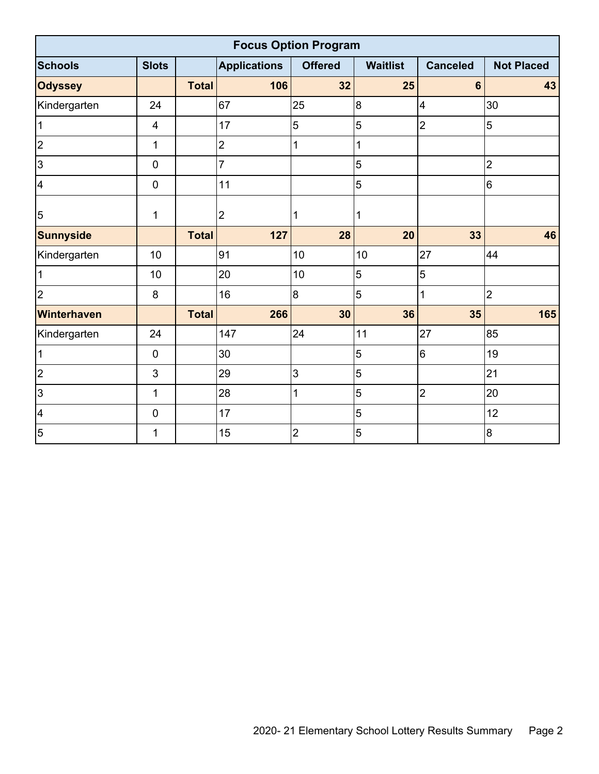| <b>Focus Option Program</b> |                         |              |                     |                |                 |                 |                   |  |  |  |
|-----------------------------|-------------------------|--------------|---------------------|----------------|-----------------|-----------------|-------------------|--|--|--|
| <b>Schools</b>              | <b>Slots</b>            |              | <b>Applications</b> | <b>Offered</b> | <b>Waitlist</b> | <b>Canceled</b> | <b>Not Placed</b> |  |  |  |
| <b>Odyssey</b>              |                         | <b>Total</b> | 106                 | 32             | 25              | $6\phantom{1}$  | 43                |  |  |  |
| Kindergarten                | 24                      |              | 67                  | 25             | $\bf{8}$        | 4               | 30                |  |  |  |
| $\mathbf{1}$                | $\overline{\mathbf{4}}$ |              | 17                  | 5              | 5               | $\overline{2}$  | 5                 |  |  |  |
| $\overline{2}$              | $\mathbf{1}$            |              | $\overline{2}$      | 1              | 1               |                 |                   |  |  |  |
| 3                           | $\mathbf 0$             |              | $\overline{7}$      |                | 5               |                 | $\overline{2}$    |  |  |  |
| 4                           | $\pmb{0}$               |              | 11                  |                | 5               |                 | $6\phantom{1}6$   |  |  |  |
| $\overline{5}$              | 1                       |              | $\overline{2}$      | 1              | 1               |                 |                   |  |  |  |
| <b>Sunnyside</b>            |                         | <b>Total</b> | 127                 | 28             | 20              | 33              | 46                |  |  |  |
| Kindergarten                | 10                      |              | 91                  | 10             | 10              | 27              | 44                |  |  |  |
| $\mathbf 1$                 | 10                      |              | 20                  | 10             | 5               | 5               |                   |  |  |  |
| $\overline{2}$              | 8                       |              | 16                  | 8              | 5               | 1               | $\overline{2}$    |  |  |  |
| Winterhaven                 |                         | <b>Total</b> | 266                 | 30             | 36              | 35              | 165               |  |  |  |
| Kindergarten                | 24                      |              | 147                 | 24             | 11              | 27              | 85                |  |  |  |
| 1                           | $\pmb{0}$               |              | 30                  |                | 5               | $6\phantom{1}$  | 19                |  |  |  |
| $\overline{2}$              | 3                       |              | 29                  | 3              | 5               |                 | 21                |  |  |  |
| 3                           | $\mathbf{1}$            |              | 28                  | 1              | 5               | $\overline{2}$  | 20                |  |  |  |
| $\overline{4}$              | $\mathbf 0$             |              | 17                  |                | 5               |                 | 12                |  |  |  |
| $\overline{5}$              | 1                       |              | 15                  | $\overline{2}$ | 5               |                 | $\overline{8}$    |  |  |  |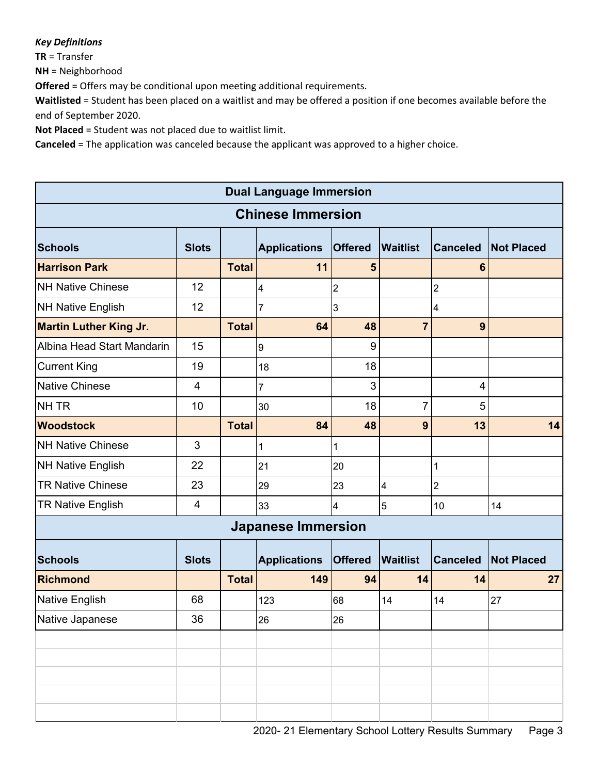## *Key Definitions*

**TR** = Transfer

**NH** = Neighborhood

**Offered** = Offers may be conditional upon meeting additional requirements.

**Waitlisted** = Student has been placed on a waitlist and may be offered a position if one becomes available before the end of September 2020.

**Not Placed** = Student was not placed due to waitlist limit.

**Canceled** = The application was canceled because the applicant was approved to a higher choice.

| <b>Dual Language Immersion</b> |              |              |                           |                         |                         |                 |                   |  |
|--------------------------------|--------------|--------------|---------------------------|-------------------------|-------------------------|-----------------|-------------------|--|
| <b>Chinese Immersion</b>       |              |              |                           |                         |                         |                 |                   |  |
| <b>Schools</b>                 | <b>Slots</b> |              | <b>Applications</b>       | <b>Offered</b>          | <b>Waitlist</b>         | <b>Canceled</b> | <b>Not Placed</b> |  |
| <b>Harrison Park</b>           |              | <b>Total</b> | 11                        | $5\phantom{1}$          |                         | 6               |                   |  |
| <b>NH Native Chinese</b>       | 12           |              | 4                         | $\overline{2}$          |                         | $\mathbf{2}$    |                   |  |
| <b>NH Native English</b>       | 12           |              | $\overline{7}$            | $\mathbf{3}$            |                         | 4               |                   |  |
| <b>Martin Luther King Jr.</b>  |              | <b>Total</b> | 64                        | 48                      | $\overline{7}$          | 9               |                   |  |
| Albina Head Start Mandarin     | 15           |              | $\boldsymbol{9}$          | 9                       |                         |                 |                   |  |
| <b>Current King</b>            | 19           |              | 18                        | 18                      |                         |                 |                   |  |
| <b>Native Chinese</b>          | 4            |              | $\overline{7}$            | 3                       |                         | 4               |                   |  |
| NH TR                          | 10           |              | 30                        | 18                      | 7                       | 5               |                   |  |
| <b>Woodstock</b>               |              | <b>Total</b> | 84                        | 48                      | 9                       | 13              | 14                |  |
| <b>NH Native Chinese</b>       | 3            |              | 1                         | 1                       |                         |                 |                   |  |
| <b>NH Native English</b>       | 22           |              | 21                        | 20                      |                         | 1               |                   |  |
| <b>TR Native Chinese</b>       | 23           |              | 29                        | 23                      | $\overline{\mathbf{4}}$ | $\overline{2}$  |                   |  |
| <b>TR Native English</b>       | 4            |              | 33                        | $\overline{\mathbf{4}}$ | 5                       | 10              | 14                |  |
|                                |              |              | <b>Japanese Immersion</b> |                         |                         |                 |                   |  |
| <b>Schools</b>                 | <b>Slots</b> |              | <b>Applications</b>       | <b>Offered</b>          | <b>Waitlist</b>         | <b>Canceled</b> | <b>Not Placed</b> |  |
| <b>Richmond</b>                |              | <b>Total</b> | 149                       | 94                      | 14                      | 14              | 27                |  |
| Native English                 | 68           |              | 123                       | 68                      | 14                      | 14              | 27                |  |
| Native Japanese                | 36           |              | 26                        | 26                      |                         |                 |                   |  |
|                                |              |              |                           |                         |                         |                 |                   |  |
|                                |              |              |                           |                         |                         |                 |                   |  |
|                                |              |              |                           |                         |                         |                 |                   |  |
|                                |              |              |                           |                         |                         |                 |                   |  |
|                                |              |              |                           |                         |                         |                 |                   |  |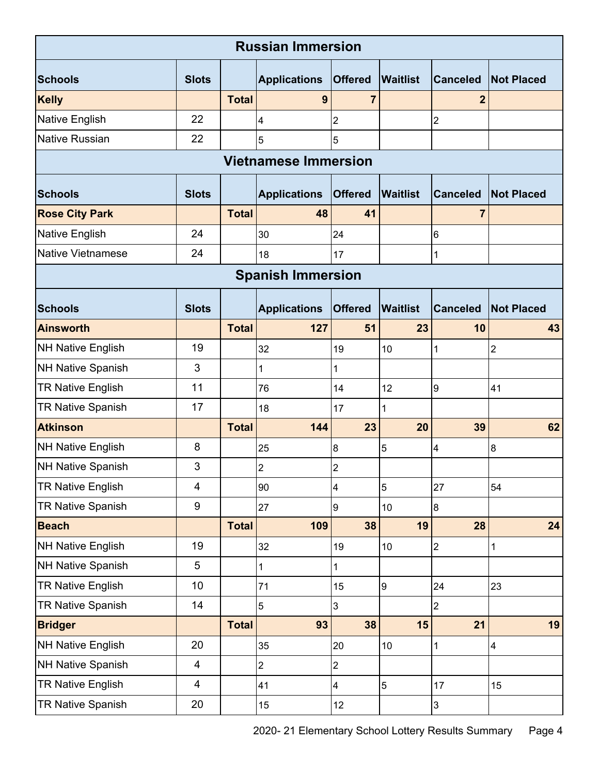| <b>Russian Immersion</b>    |                         |              |                          |                |                  |                  |                   |  |  |
|-----------------------------|-------------------------|--------------|--------------------------|----------------|------------------|------------------|-------------------|--|--|
| <b>Schools</b>              | <b>Slots</b>            |              | <b>Applications</b>      | <b>Offered</b> | <b>Waitlist</b>  | <b>Canceled</b>  | <b>Not Placed</b> |  |  |
| <b>Kelly</b>                |                         | <b>Total</b> | 9                        | 7              |                  | 2                |                   |  |  |
| Native English              | 22                      |              | 4                        | $\mathbf 2$    |                  | $\overline{2}$   |                   |  |  |
| <b>Native Russian</b>       | 22                      |              | 5                        | $\overline{5}$ |                  |                  |                   |  |  |
| <b>Vietnamese Immersion</b> |                         |              |                          |                |                  |                  |                   |  |  |
| <b>Schools</b>              | <b>Slots</b>            |              | <b>Applications</b>      | <b>Offered</b> | <b>Waitlist</b>  | <b>Canceled</b>  | <b>Not Placed</b> |  |  |
| <b>Rose City Park</b>       |                         | <b>Total</b> | 48                       | 41             |                  | $\overline{7}$   |                   |  |  |
| Native English              | 24                      |              | 30                       | 24             |                  | $6\phantom{1}$   |                   |  |  |
| <b>Native Vietnamese</b>    | 24                      |              | 18                       | 17             |                  | $\mathbf 1$      |                   |  |  |
|                             |                         |              | <b>Spanish Immersion</b> |                |                  |                  |                   |  |  |
| <b>Schools</b>              | <b>Slots</b>            |              | <b>Applications</b>      | <b>Offered</b> | <b>Waitlist</b>  | <b>Canceled</b>  | <b>Not Placed</b> |  |  |
| <b>Ainsworth</b>            |                         | <b>Total</b> | 127                      | 51             | 23               | 10               | 43                |  |  |
| <b>NH Native English</b>    | 19                      |              | 32                       | 19             | 10               | 1                | $\overline{2}$    |  |  |
| <b>NH Native Spanish</b>    | 3                       |              | 1                        | 1              |                  |                  |                   |  |  |
| <b>TR Native English</b>    | 11                      |              | 76                       | 14             | 12               | 9                | 41                |  |  |
| TR Native Spanish           | 17                      |              | 18                       | 17             | 1                |                  |                   |  |  |
| <b>Atkinson</b>             |                         | <b>Total</b> | 144                      | 23             | 20               | 39               | 62                |  |  |
| <b>NH Native English</b>    | 8                       |              | 25                       | 8              | 5                | 4                | 8                 |  |  |
| <b>NH Native Spanish</b>    | 3                       |              | $\overline{2}$           | $\overline{2}$ |                  |                  |                   |  |  |
| <b>TR Native English</b>    | $\overline{\mathbf{4}}$ |              | 90                       | 4              | 5                | 27               | 54                |  |  |
| TR Native Spanish           | $9\,$                   |              | 27                       | 9              | 10               | $\boldsymbol{8}$ |                   |  |  |
| <b>Beach</b>                |                         | <b>Total</b> | 109                      | 38             | 19               | 28               | 24                |  |  |
| <b>NH Native English</b>    | 19                      |              | 32                       | 19             | $10$             | $\overline{2}$   | 1                 |  |  |
| <b>NH Native Spanish</b>    | 5                       |              | 1                        | 1              |                  |                  |                   |  |  |
| <b>TR Native English</b>    | 10                      |              | 71                       | 15             | $\boldsymbol{9}$ | 24               | 23                |  |  |
| <b>TR Native Spanish</b>    | 14                      |              | 5                        | 3              |                  | $\overline{2}$   |                   |  |  |
| <b>Bridger</b>              |                         | <b>Total</b> | 93                       | 38             | 15               | 21               | 19                |  |  |
| <b>NH Native English</b>    | 20                      |              | 35                       | 20             | $10$             | 1                | 4                 |  |  |
| <b>NH Native Spanish</b>    | $\overline{\mathbf{4}}$ |              | $\overline{2}$           | $\overline{2}$ |                  |                  |                   |  |  |
| <b>TR Native English</b>    | $\overline{4}$          |              | 41                       | $\overline{4}$ | $\overline{5}$   | 17               | 15                |  |  |
| TR Native Spanish           | 20                      |              | 15                       | 12             |                  | 3                |                   |  |  |